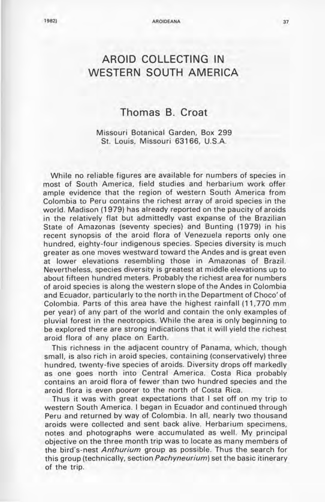# **AROID COLLECTING IN WESTERN SOUTH AMERICA**

## **Thomas B. Croat**

Missouri Botanical Garden, Box 299 St. Louis, Missouri 63166, U.S.A.

While no reliable figures are available for numbers of species in most of South America, field studies and herbarium work offer ample evidence that the region of western South America from Colombia to Peru contains the richest array of aroid species in the world. Madison (1979) has already reported on the paucity of aroids in the relatively flat but admittedly vast expanse of the Brazilian State of Amazonas (seventy species) and Bunting (1979) in his recent synopsis of the aroid flora of Venezuela reports only one hundred, eighty-four indigenous species. Species diversity is much greater as one moves westward toward the Andes and is great even at lower elevations resembling those in Amazonas of Brazil. Nevertheless, species diversity is greatest at middle elevations up to about fifteen hundred meters. Probably the richest area for numbers of aroid species is along the western slope of the Andes in Colombia and Ecuador, particularly to the north in the Department of Choco' of Colombia. Parts of this area have the highest rainfall **(11,770** mm per year) of any part of the world and contain the only examples of pluvial forest in the neotropics. While the area is only beginning to be explored there are strong indications that it will yield the richest aroid flora of any place on Earth.

This richness in the adjacent country of Panama, which, though small, is also rich in aroid species, containing (conservatively) three hundred, twenty-five species of aroids. Diversity drops off markedly as one goes north into Central America. Costa Rica probably contains an aroid flora of fewer than two hundred species and the aroid flora is even poorer to the north of Costa Rica.

Thus it was with great expectations that I set off on my trip to western South America . I began in Ecuador and continued through Peru and returned by way of Colombia. In all, nearly two thousand aroids were collected and sent back alive. Herbarium specimens, notes and photographs were accumulated as well. My principal objective on the three month trip was to locate as many members of the bird's-nest Anthurium group as possible. Thus the search for this group (technically, section *Pachyneurium*) set the basic itinerary of the trip.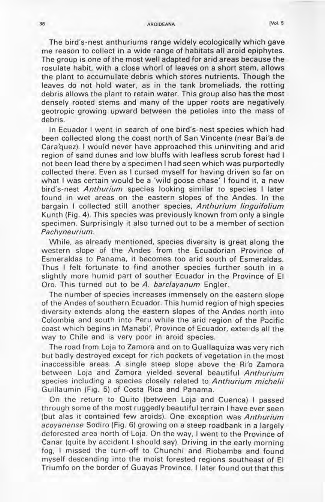#### 38 AROIDEANA [Vol. 5

The bird's-nest anthuriums range widely ecologically which gave me reason to collect in a wide range of habitats all aroid epiphytes. The group is one of the most well adapted for arid areas because the rosulate habit, with a close whorl of leaves on a short stem, allows the plant to accumulate debris which stores nutrients. Though the leaves do not hold water, as in the tank bromeliads, the rotting debris allows the plant to retain water. This group also has the most densely rooted stems and many of the upper roots are negatively geotropic growing upward between the petioles into the mass of debris.

In Ecuador I went in search of one bird's-nest species which had been collected along the coast north of San Vincente (near Bai'a de Cara'quez). I would never have approached this uninviting and arid region of sand dunes and low bluffs with leafless scrub forest had I not been lead there by a specimen I had seen which was purportedly collected there. Even as I cursed myself for having driven so far on what I was certain would be a 'wild goose chase' I found it, a new bird's-nest Anthurium species looking similar to species I later found in wet areas on the eastern slopes of the Andes. In the bargain I collected still another species, Anthurium linguifolium Kunth (Fig. 4). This species was previously known from only a single specimen. Surprisingly it also turned out to be a member of section Pachyneurium.

While, as already mentioned, species diversity is great along the western slope of the Andes from the Ecuadorian Province of Esmeraldas to Panama, it becomes too arid south of Esmeraldas. Thus I felt fortunate to find another species further south in a slightly more humid part of souther Ecuador in the Province of EI Oro. This turned out to be *A.* barclayanum Engler.

The number of species increases immensely on the eastern slope of the Andes of southern Ecuador. This humid region of high species diversity extends along the eastern slopes of the Andes north into Colombia and south into Peru while the arid region of the Pacific coast which begins in Manabi', Province of Ecuador, extends all the way to Chile and is very poor in aroid species.

The road from Loja to Zamora and on to Guallaquiza was very rich but badly destroyed except for rich pockets of vegetation in the most inaccessible areas. A single steep slope above the Ri'o Zamora between Loja and Zamora yielded several beautiful Anthurium species including a species closely related to Anthurium michelii Guillaumin (Fig. 5) of Costa Rica and Panama.

On the return to Quito (between Loja and Cuenca) I passed through some of the most ruggedly beautiful terrain I have ever seen (but alas it contained few aroids). One exception was Anthurium acoyanense Sodiro (Fig. 6) growing on a steep roadbank in a largely deforested area north of Loja. On the way, I went to the Province of Canar (quite by accident I should say). Driving in the early morning fog, I missed the turn-off to Chunchi and Riobamba and found myself descending into the moist forested regions southeast of EI Triumfo on the border of Guayas Province. I later found out that this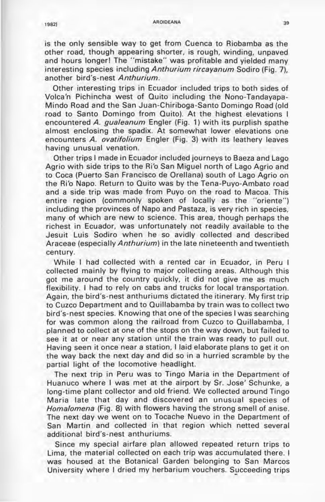### 1982] AROIDEANA 39

is the only sensible way to get from Cuenca to Riobamba as the other road, though appearing shorter, is rough, winding, unpaved and hours longer! The "mistake" was profitable and yielded many interesting species including Anthurium rircayanum Sodiro (Fig. 7), another bird's-nest Anthurium.

Other interesting trips in Ecuador included trips to both sides of Volca'n Pichincha west of Quito including the Nono-Tandayapa-Mindo Road and the San Juan-Chiriboga-Santo Domingo Road (old road to Santo Domingo from Quito). At the highest elevations I encountered *A. gualeanum* Engler (Fig. 1) with its purplish spathe almost enclosing the spadix. At somewhat lower elevations one encounters *A. ovatifolium* Engler (Fig. 3) with its leathery leaves having unusual venation.

Other trips I made in Ecuador included journeys to Baeza and Lago Agrio with side trips to the Ri'o San Miguel north of Lago Agrio and to Coca (Puerto San Francisco de Orellana) south of Lago Agrio on the Ri'o Napo. Return to Quito was by the Tena-Puyo-Ambato road and a side trip was made from Puyo on the road to Macoa. This entire region (commonly spoken of locally as the "oriente") including the provinces of Napo and Pastaza, is very rich in species, many of which are new to science. This area, though perhaps the richest in Ecuador, was unfortunately not readily available to the Jesuit Luis Sodiro when he so avidly collected and described Araceae (especially Anthurium) in the late nineteenth and twentieth century.

While I had collected with a rented car in Ecuador, in Peru I collected mainly by flying to major collecting areas. Although this got me around the country quickly, it did not give me as much flexibility. I had to rely on cabs and trucks for local transportation. Again, the bird's-nest anthuriums dictated the itinerary. My first trip to Cuzco Department and to Quillabamba by train was to collect two bird's-nest species. Knowing that one of the species I was searching for was common along the railroad from Cuzco to Quillabamba, I planned to collect at one of the stops on the way down, but failed to see it at or near any station until the train was ready to pull out. Having seen it once near a station, I laid elaborate plans to get it on the way back the next day and did so in a hurried scramble by the partial light of the locomotive headlight.

The next trip in Peru was to Tingo Maria in the Department of Huanuco where I was met at the airport by Sr. Jose' Schunke, a long-time plant collector and old friend. We collected around Tingo Maria late that day and discovered an unusual species of Homalomena (Fig. 8) with flowers having the strong smell of anise. The next day we went on to Tocache Nuevo in the Department of San Martin and collected in that region which netted several additiona! bird's-nest anthuriums.

Since my special airfare plan allowed repeated return trips to Lima, the material collected on each trip was accumulated there. I was housed at the Botanical Garden belonging to San Marcos University where I dried my herbarium vouchers. Succeeding trips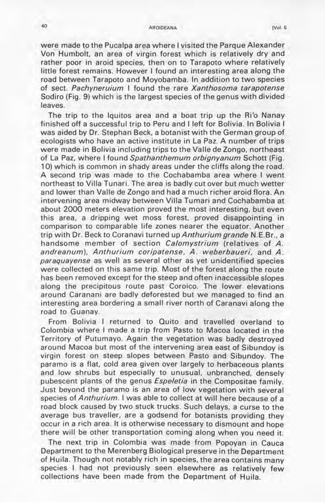#### 40 AROIDEANA [Vol. 5

were made to the Pucalpa area where I visited the Parque Alexander Von Humbolt, an area of virgin forest which is relatively dry and rather poor in aroid species, then on to Tarapoto where relatively little forest remains. However I found an interesting area along the road between Tarapoto and Moyobamba. In addition to two species of sect. Pachyneruium I found the rare Xanthosoma tarapotense Sodiro (Fig. 9) which is the largest species of the genus with divided leaves.

The trip to the Iquitos area and a boat trip up the Ri'o Nanay finished off a successful trip to Peru and I left for Bolivia. In Bolivia I was aided by Dr. Stephan Beck, a botanist with the German group of ecologists who have an active institute in La Paz. A number of trips were made in Bolivia including trips to the Valle de Zongo, northeast of La Paz, where I found Spathanthemum orbignyanum Schott (Fig. 10) which is common in shady areas under the cliffs along the road. A second trip was made to the Cochabamba area where I went northeast to Villa Tunari . The area is badly cut over but much wetter and lower than Valle de Zongo and had a much richer aroid flora. An intervening area midway between Villa Tumari and Cochabamba at about 2000 meters elevation proved the most interesting, but even this area, a dripping wet moss forest, proved disappointing in comparison to comparable life zones nearer the equator. Another trip with Dr. Beck to Coranavi turned up Anthurium grande N.E.Br., a handsome member of section Calomystrium (relatives of A. andreanum), Anthurium coripatense, A. weberbaueri, and A. paraquayense as well as several other as yet unidentified species were collected on this same trip. Most of the forest along the route has been removed except for the steep and often inaccessible slopes along the precipitous route past Coroico. The lower elevations around Caranani are badly deforested but we managed to find an interesting area bordering a small river north of Caranavi along the road to Guanay.

From Bolivia I returned to Quito and travelled overland to 'Colombia where I made a trip from Pasto to Macoa located in the Territory of Putumayo. Again the vegetation was badly destroyed around Macoa but most of the intervening area east of Sibundoy is virgin forest on steep slopes between Pasto and Sibundoy. The paramo is a flat, cold area given over largely to herbaceous plants and low shrubs but especially to unusual, unbranched, densely pubescent plants of the genus Espeletia in the Compositae family. Just beyond the paramo is an area of low vegetation with several species of Anthurium. I was able to collect at will here because of a road block caused by two stuck trucks. Such delays, a curse to the average bus traveller, are a godsend for botanists providing they occur in a rich area. It is otherwise necessary to dismount and hope there will be other transportation coming along when you need it.

The next trip in Colombia was made from Popoyan in Cauca Department to the Merenberg Biological preserve in the Department of Huila . Though not notably rich in species, the area contains many species I had not previously seen elsewhere as relatively few collections have been made from the Department of Huila.